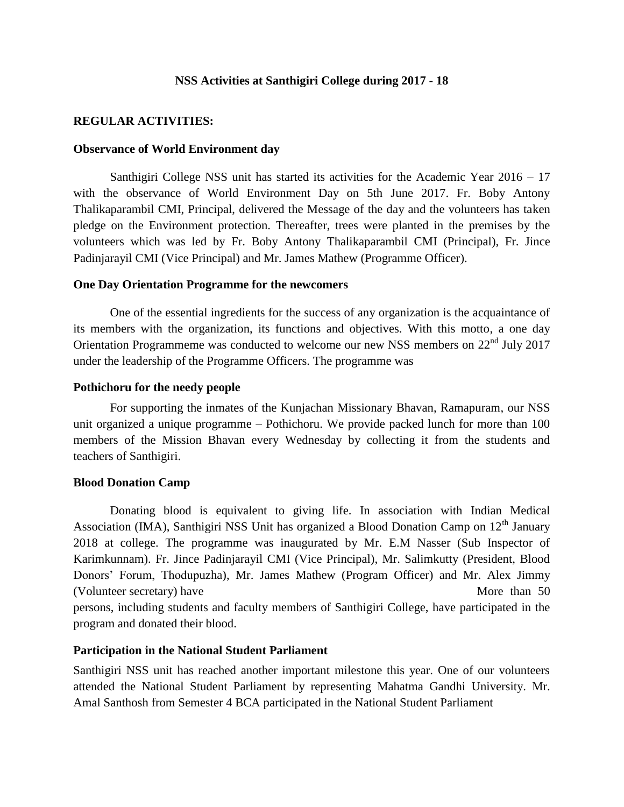# **NSS Activities at Santhigiri College during 2017 - 18**

# **REGULAR ACTIVITIES:**

#### **Observance of World Environment day**

Santhigiri College NSS unit has started its activities for the Academic Year 2016 – 17 with the observance of World Environment Day on 5th June 2017. Fr. Boby Antony Thalikaparambil CMI, Principal, delivered the Message of the day and the volunteers has taken pledge on the Environment protection. Thereafter, trees were planted in the premises by the volunteers which was led by Fr. Boby Antony Thalikaparambil CMI (Principal), Fr. Jince Padinjarayil CMI (Vice Principal) and Mr. James Mathew (Programme Officer).

#### **One Day Orientation Programme for the newcomers**

One of the essential ingredients for the success of any organization is the acquaintance of its members with the organization, its functions and objectives. With this motto, a one day Orientation Programmeme was conducted to welcome our new NSS members on 22nd July 2017 under the leadership of the Programme Officers. The programme was

### **Pothichoru for the needy people**

For supporting the inmates of the Kunjachan Missionary Bhavan, Ramapuram, our NSS unit organized a unique programme – Pothichoru. We provide packed lunch for more than 100 members of the Mission Bhavan every Wednesday by collecting it from the students and teachers of Santhigiri.

# **Blood Donation Camp**

Donating blood is equivalent to giving life. In association with Indian Medical Association (IMA), Santhigiri NSS Unit has organized a Blood Donation Camp on 12<sup>th</sup> January 2018 at college. The programme was inaugurated by Mr. E.M Nasser (Sub Inspector of Karimkunnam). Fr. Jince Padinjarayil CMI (Vice Principal), Mr. Salimkutty (President, Blood Donors' Forum, Thodupuzha), Mr. James Mathew (Program Officer) and Mr. Alex Jimmy (Volunteer secretary) have More than 50 persons, including students and faculty members of Santhigiri College, have participated in the program and donated their blood.

# **Participation in the National Student Parliament**

Santhigiri NSS unit has reached another important milestone this year. One of our volunteers attended the National Student Parliament by representing Mahatma Gandhi University. Mr. Amal Santhosh from Semester 4 BCA participated in the National Student Parliament